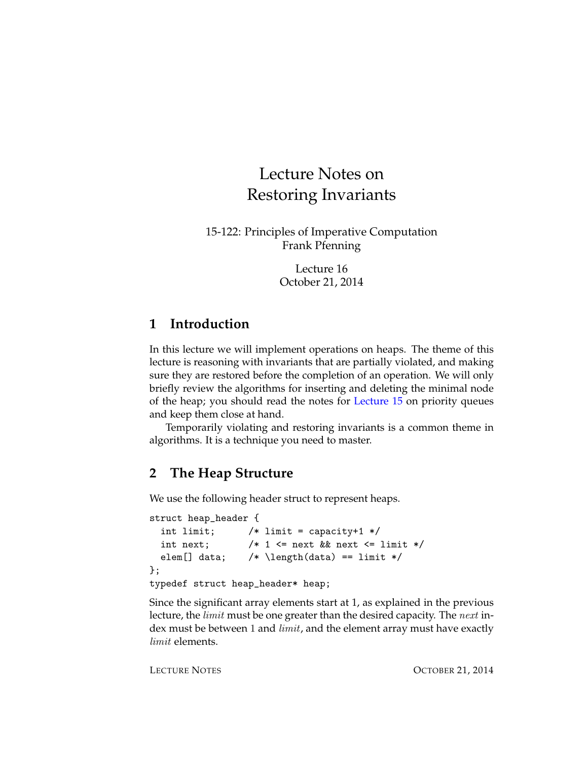# Lecture Notes on Restoring Invariants

15-122: Principles of Imperative Computation Frank Pfenning

> Lecture 16 October 21, 2014

# **1 Introduction**

In this lecture we will implement operations on heaps. The theme of this lecture is reasoning with invariants that are partially violated, and making sure they are restored before the completion of an operation. We will only briefly review the algorithms for inserting and deleting the minimal node of the heap; you should read the notes for [Lecture 15](http://www.cs.cmu.edu/~rjsimmon/15122-f14/lec/15-priorqs.pdf) on priority queues and keep them close at hand.

Temporarily violating and restoring invariants is a common theme in algorithms. It is a technique you need to master.

# **2 The Heap Structure**

We use the following header struct to represent heaps.

```
struct heap_header {
 int limit; /* limit = capacity+1 */int next; /* 1 \le next && next \le limit */
 elem[] data; /* \left( data \right) == limit */};
typedef struct heap_header* heap;
```
Since the significant array elements start at 1, as explained in the previous lecture, the *limit* must be one greater than the desired capacity. The *next* index must be between 1 and *limit*, and the element array must have exactly limit elements.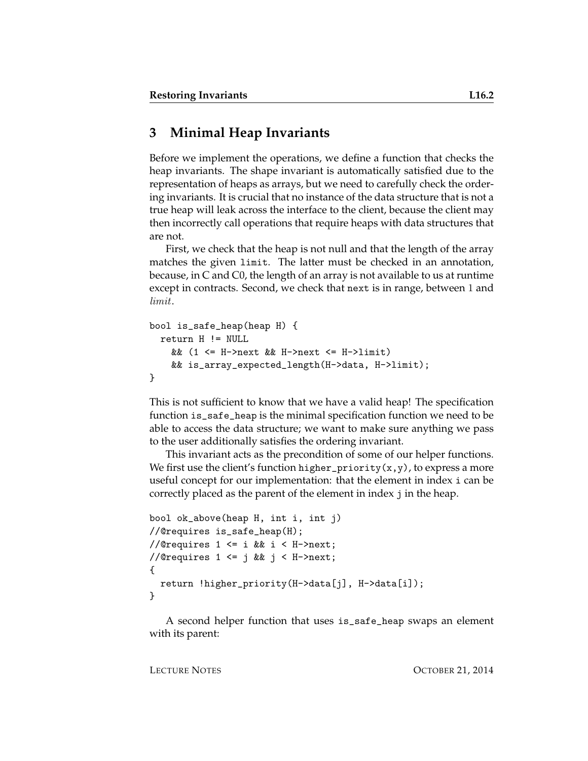# **3 Minimal Heap Invariants**

Before we implement the operations, we define a function that checks the heap invariants. The shape invariant is automatically satisfied due to the representation of heaps as arrays, but we need to carefully check the ordering invariants. It is crucial that no instance of the data structure that is not a true heap will leak across the interface to the client, because the client may then incorrectly call operations that require heaps with data structures that are not.

First, we check that the heap is not null and that the length of the array matches the given limit. The latter must be checked in an annotation, because, in C and C0, the length of an array is not available to us at runtime except in contracts. Second, we check that next is in range, between 1 and limit.

```
bool is_safe_heap(heap H) {
  return H != NULL
   && (1 <= H->next && H->next <= H->limit)
    && is_array_expected_length(H->data, H->limit);
}
```
This is not sufficient to know that we have a valid heap! The specification function is\_safe\_heap is the minimal specification function we need to be able to access the data structure; we want to make sure anything we pass to the user additionally satisfies the ordering invariant.

This invariant acts as the precondition of some of our helper functions. We first use the client's function higher\_priority( $x, y$ ), to express a more useful concept for our implementation: that the element in index i can be correctly placed as the parent of the element in index j in the heap.

```
bool ok_above(heap H, int i, int j)
//@requires is_safe_heap(H);
//@requires 1 \leq i && i \leq H->next;
//@requires 1 \leq j && j \leq H->next;
{
  return !higher_priority(H->data[j], H->data[i]);
}
```
A second helper function that uses is\_safe\_heap swaps an element with its parent: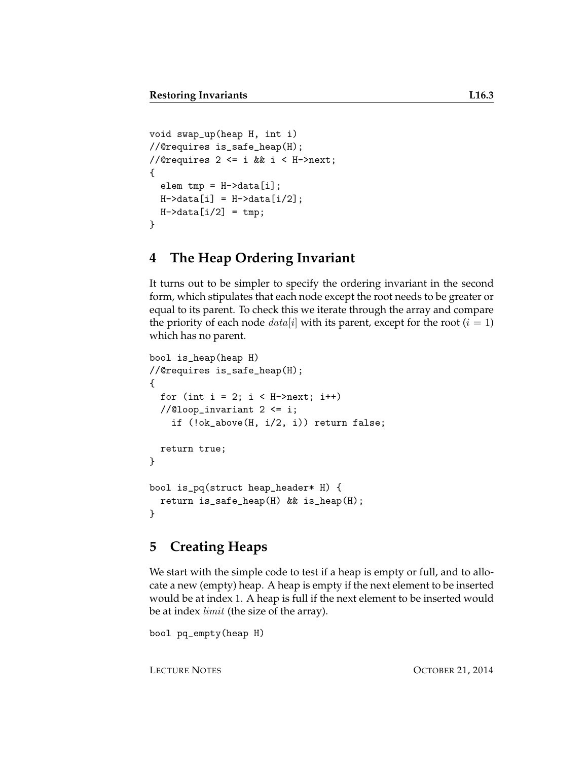```
void swap_up(heap H, int i)
//@requires is_safe_heap(H);
//@requires 2 \le i \le i \le i \le H->next;
{
  elem tmp = H-\lambda data[i];H->data[i] = H->data[i/2];
  H->data[i/2] = tmp;
}
```
# **4 The Heap Ordering Invariant**

It turns out to be simpler to specify the ordering invariant in the second form, which stipulates that each node except the root needs to be greater or equal to its parent. To check this we iterate through the array and compare the priority of each node  $data[i]$  with its parent, except for the root  $(i = 1)$ which has no parent.

```
bool is_heap(heap H)
//@requires is_safe_heap(H);
{
  for (int i = 2; i < H->next; i++)//@loop_invariant 2 \leq i;if (!ok_above(H, i/2, i)) return false;
  return true;
}
bool is_pq(struct heap_header* H) {
  return is_safe_heap(H) && is_heap(H);
}
```
#### **5 Creating Heaps**

We start with the simple code to test if a heap is empty or full, and to allocate a new (empty) heap. A heap is empty if the next element to be inserted would be at index 1. A heap is full if the next element to be inserted would be at index *limit* (the size of the array).

```
bool pq_empty(heap H)
```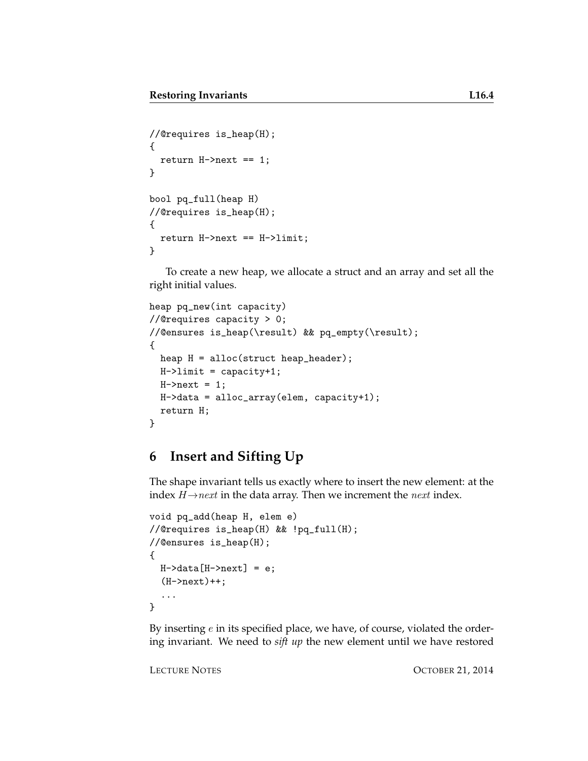```
//@requires is_heap(H);
{
  return H\rightarrownext == 1;
}
bool pq_full(heap H)
//@requires is_heap(H);
{
  return H->next == H->limit;
}
```
To create a new heap, we allocate a struct and an array and set all the right initial values.

```
heap pq_new(int capacity)
//@requires capacity > 0;
//@ensures is_heap(\result) && pq_empty(\result);
{
 heap H = alloc(struct heap_header);
 H->limit = capacity+1;
 H->next = 1;H->data = alloc_array(elem, capacity+1);
  return H;
}
```
### **6 Insert and Sifting Up**

The shape invariant tells us exactly where to insert the new element: at the index  $H \rightarrow next$  in the data array. Then we increment the *next* index.

```
void pq_add(heap H, elem e)
//@requires is_heap(H) && !pq_full(H);
//@ensures is_heap(H);
{
  H-\lambda data[H-\lambda next] = e;(H->next)++;
  ...
}
```
By inserting  $e$  in its specified place, we have, of course, violated the ordering invariant. We need to *sift up* the new element until we have restored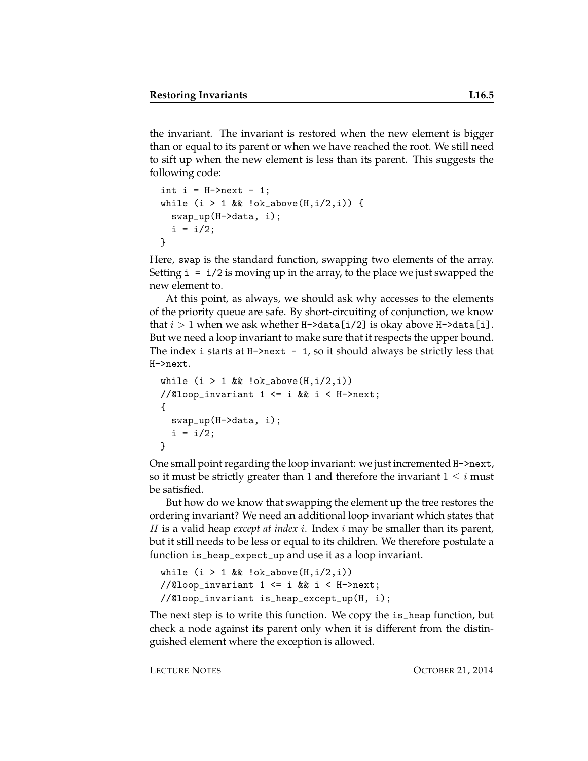the invariant. The invariant is restored when the new element is bigger than or equal to its parent or when we have reached the root. We still need to sift up when the new element is less than its parent. This suggests the following code:

```
int i = H->next - 1;
while (i > 1 \& k \cdot \text{ok}_a \text{above}(H, i/2, i)) {
  swap_up(H->data, i);
  i = i/2;}
```
Here, swap is the standard function, swapping two elements of the array. Setting  $i = i/2$  is moving up in the array, to the place we just swapped the new element to.

At this point, as always, we should ask why accesses to the elements of the priority queue are safe. By short-circuiting of conjunction, we know that  $i > 1$  when we ask whether H->data [i/2] is okay above H->data [i]. But we need a loop invariant to make sure that it respects the upper bound. The index i starts at  $H\text{-}$ next - 1, so it should always be strictly less that H->next.

```
while (i > 1 && !ok_above(H, i/2, i))
//@loop_invariant 1 <= i && i < H->next;
{
  swap_up(H->data, i);
 i = i/2;}
```
One small point regarding the loop invariant: we just incremented H->next, so it must be strictly greater than 1 and therefore the invariant  $1 \leq i$  must be satisfied.

But how do we know that swapping the element up the tree restores the ordering invariant? We need an additional loop invariant which states that H is a valid heap *except at index* i. Index i may be smaller than its parent, but it still needs to be less or equal to its children. We therefore postulate a function is\_heap\_expect\_up and use it as a loop invariant.

```
while (i > 1 & \& !ok_above(H,i/2,i))
//@loop_invariant 1 <= i && i < H->next;
//@loop_invariant is_heap_except_up(H, i);
```
The next step is to write this function. We copy the is\_heap function, but check a node against its parent only when it is different from the distinguished element where the exception is allowed.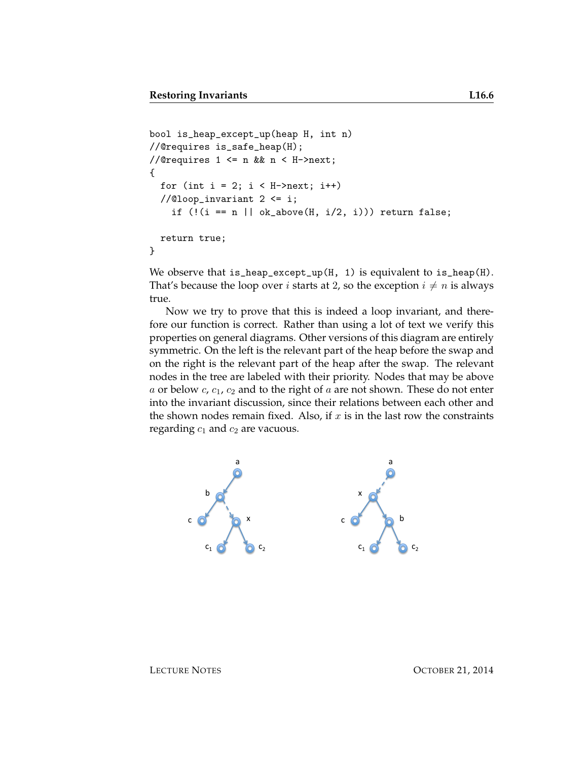```
bool is_heap_except_up(heap H, int n)
//@requires is_safe_heap(H);
//@requires 1 \leq n && n \leq H->next;
{
  for (int i = 2; i < H->next; i++)//@loop_invariant 2 <= i;
    if (!(i == n || ok_above(H, i/2, i))) return false;
  return true;
}
```
We observe that is\_heap\_except\_up(H, 1) is equivalent to is\_heap(H). That's because the loop over *i* starts at 2, so the exception  $i \neq n$  is always true.

Now we try to prove that this is indeed a loop invariant, and therefore our function is correct. Rather than using a lot of text we verify this properties on general diagrams. Other versions of this diagram are entirely symmetric. On the left is the relevant part of the heap before the swap and on the right is the relevant part of the heap after the swap. The relevant nodes in the tree are labeled with their priority. Nodes that may be above a or below  $c, c_1, c_2$  and to the right of a are not shown. These do not enter into the invariant discussion, since their relations between each other and the shown nodes remain fixed. Also, if  $x$  is in the last row the constraints regarding  $c_1$  and  $c_2$  are vacuous.

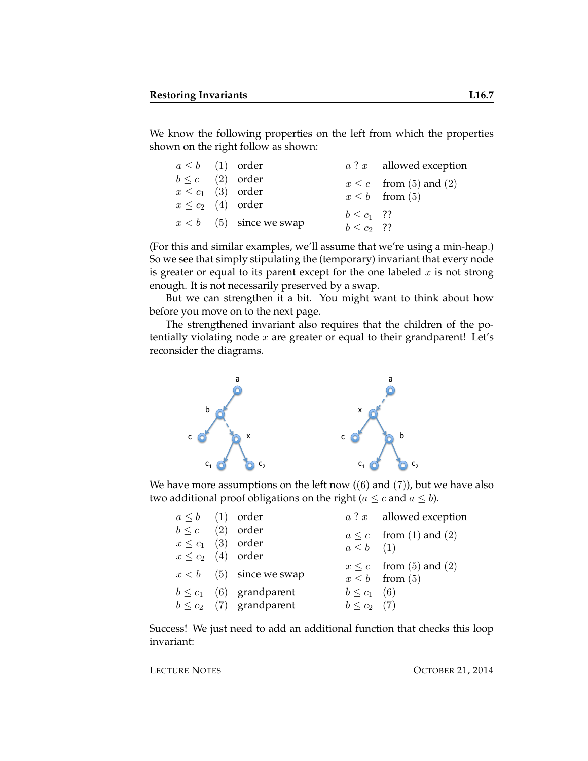We know the following properties on the left from which the properties shown on the right follow as shown:

| $a \leq b$ (1) order   |                           |                 | $a$ ? $x$ allowed exception |
|------------------------|---------------------------|-----------------|-----------------------------|
| $b \leq c$ (2) order   |                           |                 | $x \leq c$ from (5) and (2) |
| $x \leq c_1$ (3) order |                           |                 | $x \leq b$ from (5)         |
| $x \leq c_2$ (4) order |                           |                 |                             |
|                        | $x < b$ (5) since we swap | $b \leq c_1$ ?? |                             |
|                        |                           | $b < c_2$ ??    |                             |

(For this and similar examples, we'll assume that we're using a min-heap.) So we see that simply stipulating the (temporary) invariant that every node is greater or equal to its parent except for the one labeled  $x$  is not strong enough. It is not necessarily preserved by a swap.

But we can strengthen it a bit. You might want to think about how before you move on to the next page.

The strengthened invariant also requires that the children of the potentially violating node  $x$  are greater or equal to their grandparent! Let's reconsider the diagrams.



We have more assumptions on the left now  $((6)$  and  $(7)$ ), but we have also two additional proof obligations on the right ( $a \leq c$  and  $a \leq b$ ).

| $a \leq b$ (1) order   |                              |                  | $a$ ? $x$ allowed exception |
|------------------------|------------------------------|------------------|-----------------------------|
| $b \leq c$ (2) order   |                              |                  | $a \leq c$ from (1) and (2) |
| $x \leq c_1$ (3) order |                              | $a \leq b$ (1)   |                             |
| $x \leq c_2$ (4) order |                              |                  |                             |
|                        | $x < b$ (5) since we swap    |                  | $x \leq c$ from (5) and (2) |
|                        |                              |                  | $x \leq b$ from (5)         |
|                        | $b \leq c_1$ (6) grandparent | $b \leq c_1$ (6) |                             |
|                        | $b \leq c_2$ (7) grandparent | $b \leq c_2$ (7) |                             |
|                        |                              |                  |                             |

Success! We just need to add an additional function that checks this loop invariant: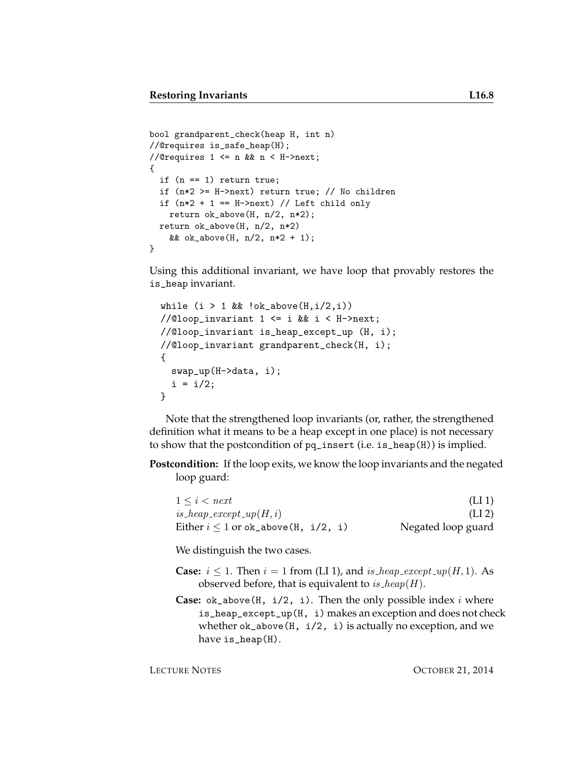```
bool grandparent_check(heap H, int n)
//@requires is_safe_heap(H);
//@requires 1 \leq n && n \leq H->next;
{
 if (n == 1) return true;
 if (n*2 >= H->next) return true; // No children
 if (n*2 + 1 == H\text{-}2next) // Left child only
   return ok_above(H, n/2, n*2);
 return ok_above(H, n/2, n*2)
    && ok_above(H, n/2, n*2 + 1);
}
```
Using this additional invariant, we have loop that provably restores the is\_heap invariant.

```
while (i > 1 \& k \cdot \text{lok}_a \text{above}(H, i/2, i))//@loop_invariant 1 \leq i && i \leq H->next;
//@loop_invariant is_heap_except_up (H, i);
//@loop_invariant grandparent_check(H, i);
{
  swap_up(H->data, i);
  i = i/2;}
```
Note that the strengthened loop invariants (or, rather, the strengthened definition what it means to be a heap except in one place) is not necessary to show that the postcondition of pq\_insert (i.e. is\_heap(H)) is implied.

**Postcondition:** If the loop exits, we know the loop invariants and the negated loop guard:

| $1 \leq i \leq next$                     | (LI <sub>1</sub> ) |
|------------------------------------------|--------------------|
| $is\_heap\_except\_up(H, i)$             | (LI <sub>2</sub> ) |
| Either $i \leq 1$ or ok_above(H, i/2, i) | Negated loop guard |

We distinguish the two cases.

- **Case:**  $i \leq 1$ . Then  $i = 1$  from (LI 1), and is heap except  $\mathfrak{u}(H, 1)$ . As observed before, that is equivalent to  $is\_heap(H)$ .
- **Case:**  $ok_above(H, i/2, i)$ . Then the only possible index i where is\_heap\_except\_up(H, i) makes an exception and does not check whether  $ok_above(H, i/2, i)$  is actually no exception, and we have is\_heap(H).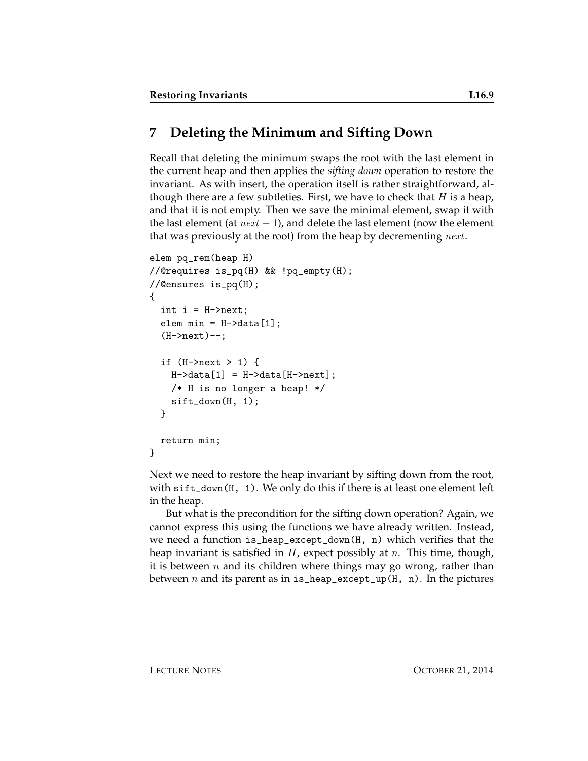# **7 Deleting the Minimum and Sifting Down**

Recall that deleting the minimum swaps the root with the last element in the current heap and then applies the *sifting down* operation to restore the invariant. As with insert, the operation itself is rather straightforward, although there are a few subtleties. First, we have to check that  $H$  is a heap, and that it is not empty. Then we save the minimal element, swap it with the last element (at  $next - 1$ ), and delete the last element (now the element that was previously at the root) from the heap by decrementing *next*.

```
elem pq_rem(heap H)
//@requires is_pq(H) && !pq_empty(H);
//@ensures is_pq(H);
{
  int i = H->next;
  elem min = H-\lambda data[1];(H->next)--;
  if (H->next > 1) {
    H-\lambda data[1] = H-\lambda data[H-\lambda next];
    /* H is no longer a heap! */
    sift_down(H, 1);
  }
  return min;
}
```
Next we need to restore the heap invariant by sifting down from the root, with sift\_down(H, 1). We only do this if there is at least one element left in the heap.

But what is the precondition for the sifting down operation? Again, we cannot express this using the functions we have already written. Instead, we need a function is\_heap\_except\_down(H, n) which verifies that the heap invariant is satisfied in  $H$ , expect possibly at  $n$ . This time, though, it is between  $n$  and its children where things may go wrong, rather than between *n* and its parent as in is\_heap\_except\_up( $H$ , n). In the pictures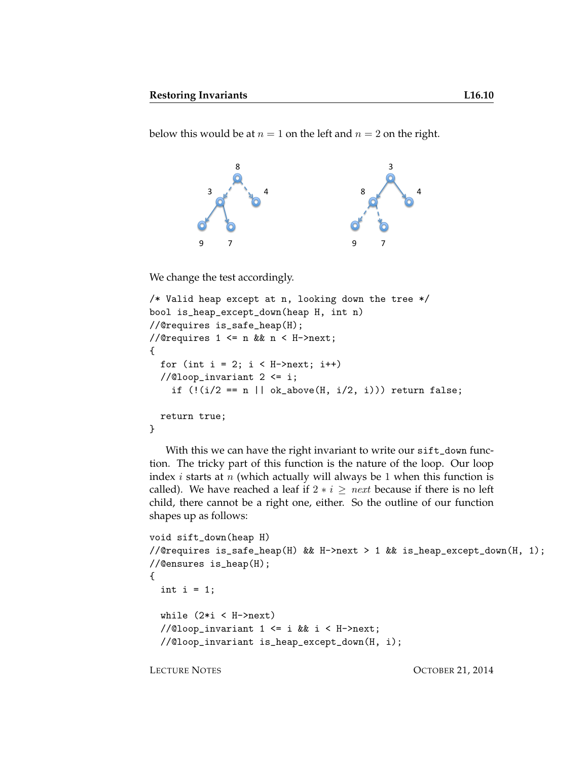below this would be at  $n = 1$  on the left and  $n = 2$  on the right.



We change the test accordingly.

```
/* Valid heap except at n, looking down the tree */bool is_heap_except_down(heap H, int n)
//@requires is_safe_heap(H);
//@requires 1 \leq n && n \leq H->next;
{
  for (int i = 2; i < H->next; i++)//@loop_invariant 2 \leq i;if (!(i/2 == n || ok_above(H, i/2, i))) return false;
 return true;
}
```
With this we can have the right invariant to write our sift\_down function. The tricky part of this function is the nature of the loop. Our loop index *i* starts at *n* (which actually will always be 1 when this function is called). We have reached a leaf if  $2 * i \geq next$  because if there is no left child, there cannot be a right one, either. So the outline of our function shapes up as follows:

```
void sift_down(heap H)
//@requires is_safe_heap(H) && H->next > 1 && is_heap_except_down(H, 1);
//@ensures is_heap(H);
{
  int i = 1;
  while (2*i < H->next)//@loop_invariant 1 <= i && i < H->next;
  //@loop_invariant is_heap_except_down(H, i);
```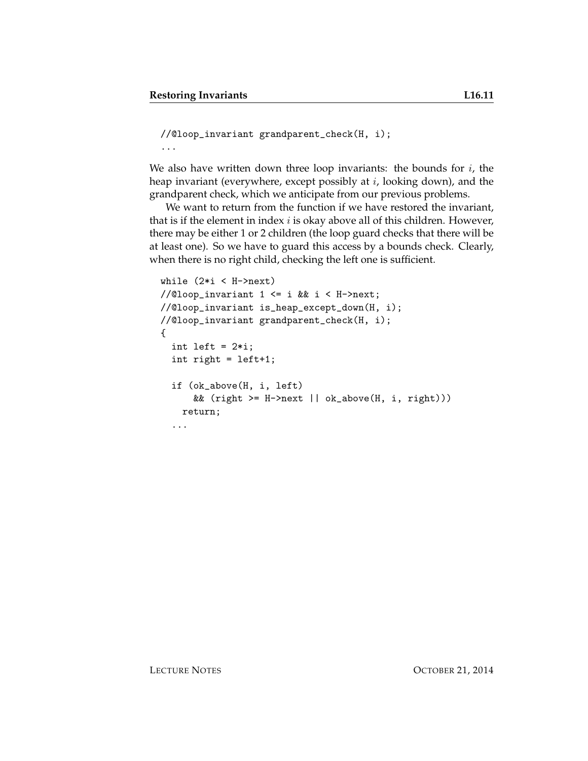```
//@loop_invariant grandparent_check(H, i);
...
```
We also have written down three loop invariants: the bounds for  $i$ , the heap invariant (everywhere, except possibly at  $i$ , looking down), and the grandparent check, which we anticipate from our previous problems.

We want to return from the function if we have restored the invariant, that is if the element in index  $i$  is okay above all of this children. However, there may be either 1 or 2 children (the loop guard checks that there will be at least one). So we have to guard this access by a bounds check. Clearly, when there is no right child, checking the left one is sufficient.

```
while (2*i < H->next)//@loop_invariant 1 <= i && i < H->next;
//@loop_invariant is_heap_except_down(H, i);
//@loop_invariant grandparent_check(H, i);
{
  int left = 2*i;
  int right = left+1;
  if (ok_above(H, i, left)
      && (right \geq H\geq next || ok_above(H, i, right)))return;
  ...
```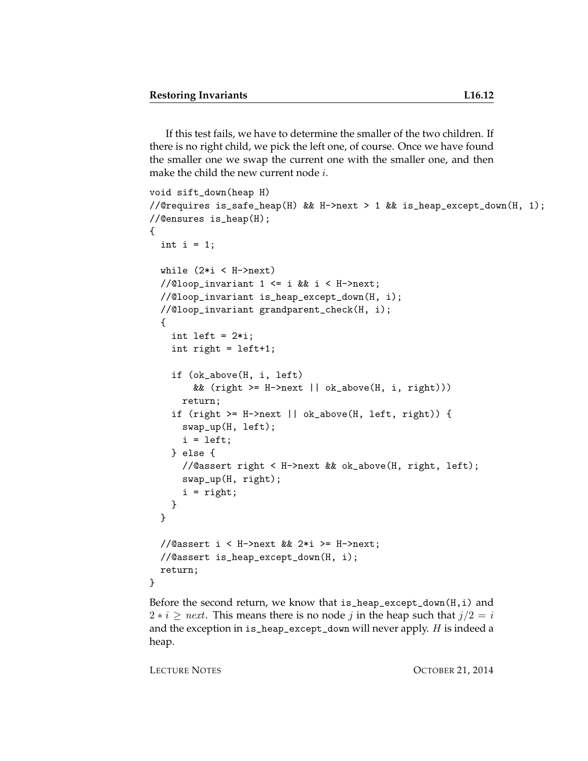If this test fails, we have to determine the smaller of the two children. If there is no right child, we pick the left one, of course. Once we have found the smaller one we swap the current one with the smaller one, and then make the child the new current node  $i$ .

```
void sift_down(heap H)
//@requires is_safe_heap(H) && H->next > 1 && is_heap_except_down(H, 1);
//@ensures is_heap(H);
{
  int i = 1;
  while (2*i < H->next)//@loop_invariant 1 <= i && i < H->next;
  //@loop_invariant is_heap_except_down(H, i);
  //@loop_invariant grandparent_check(H, i);
  {
    int left = 2*i;
    int right = left+1;
    if (ok_above(H, i, left)
        && (right >= H->next || ok_above(H, i, right)))
      return;
    if (right >= H->next || ok_above(H, left, right)) {
      swap_up(H, left);
      i = left;} else {
      //@assert right < H->next && ok_above(H, right, left);
      swap_up(H, right);
      i = right;
   }
  }
  //@assert i < H->next && 2*i >= H->next;
  //@assert is_heap_except_down(H, i);
 return;
}
```
Before the second return, we know that is\_heap\_except\_down(H,i) and  $2 * i \geq next$ . This means there is no node j in the heap such that  $j/2 = i$ and the exception in is\_heap\_except\_down will never apply. H is indeed a heap.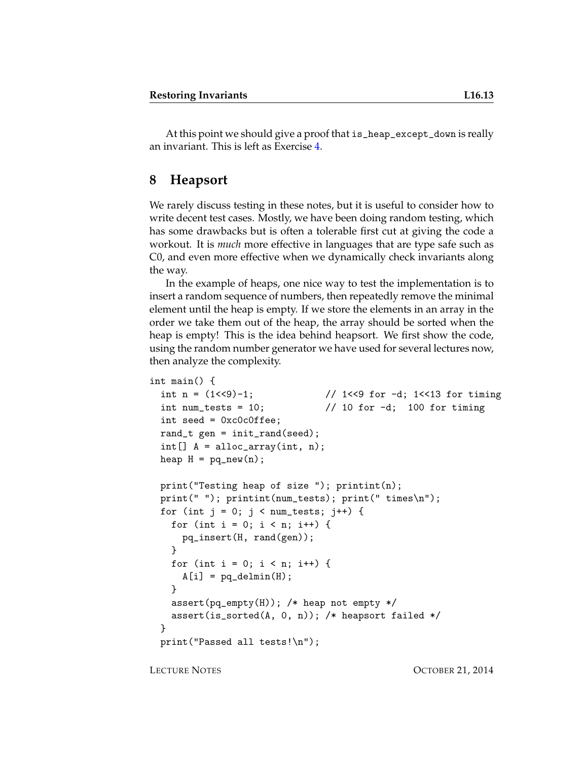At this point we should give a proof that is\_heap\_except\_down is really an invariant. This is left as Exercise [4.](#page-14-0)

#### **8 Heapsort**

We rarely discuss testing in these notes, but it is useful to consider how to write decent test cases. Mostly, we have been doing random testing, which has some drawbacks but is often a tolerable first cut at giving the code a workout. It is *much* more effective in languages that are type safe such as C0, and even more effective when we dynamically check invariants along the way.

In the example of heaps, one nice way to test the implementation is to insert a random sequence of numbers, then repeatedly remove the minimal element until the heap is empty. If we store the elements in an array in the order we take them out of the heap, the array should be sorted when the heap is empty! This is the idea behind heapsort. We first show the code, using the random number generator we have used for several lectures now, then analyze the complexity.

```
int main() {
 int n = (1 < 9) - 1; // 1 < 9 for -1; 1< 13 for timing
 int num_tests = 10; \frac{1}{10} for -d; 100 for timing
 int seed = 0xc0c0ffee;
 rand_t gen = init_rand(seed);
 int[] A = alloc_array(int, n);heap H = pq_new(n);print("Testing heap of size "); printint(n);
 print(" "); printint(num_tests); print(" times\n");
 for (int j = 0; j < num\_tests; j++) {
   for (int i = 0; i < n; i++) {
      pq_insert(H, rand(gen));
   }
   for (int i = 0; i < n; i++) {
     A[i] = pq delmin(H);
   }
   assert(pq_empty(H)); /* heap not empty */
   assert(is_sorted(A, 0, n)); /* heapsort failed */
 }
 print("Passed all tests!\n");
```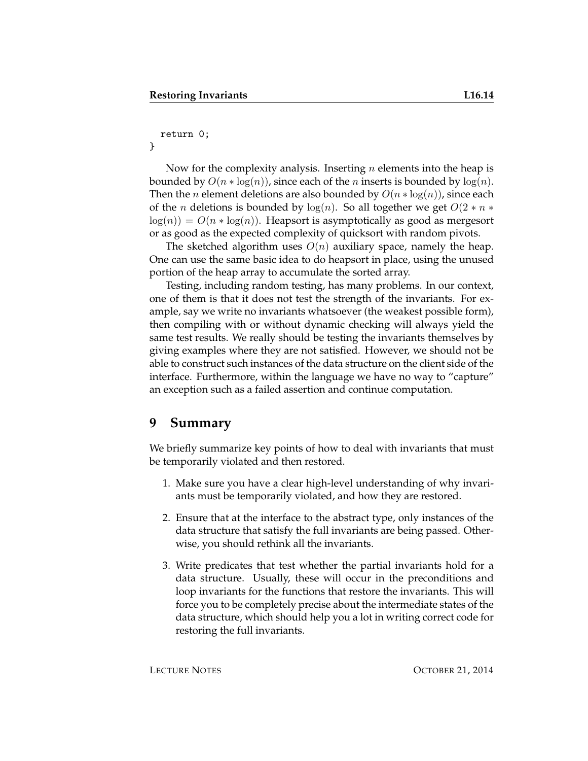#### return 0;

}

Now for the complexity analysis. Inserting  $n$  elements into the heap is bounded by  $O(n * log(n))$ , since each of the *n* inserts is bounded by  $log(n)$ . Then the *n* element deletions are also bounded by  $O(n * log(n))$ , since each of the *n* deletions is bounded by  $log(n)$ . So all together we get  $O(2 * n *$  $log(n) = O(n * log(n))$ . Heapsort is asymptotically as good as mergesort or as good as the expected complexity of quicksort with random pivots.

The sketched algorithm uses  $O(n)$  auxiliary space, namely the heap. One can use the same basic idea to do heapsort in place, using the unused portion of the heap array to accumulate the sorted array.

Testing, including random testing, has many problems. In our context, one of them is that it does not test the strength of the invariants. For example, say we write no invariants whatsoever (the weakest possible form), then compiling with or without dynamic checking will always yield the same test results. We really should be testing the invariants themselves by giving examples where they are not satisfied. However, we should not be able to construct such instances of the data structure on the client side of the interface. Furthermore, within the language we have no way to "capture" an exception such as a failed assertion and continue computation.

#### **9 Summary**

We briefly summarize key points of how to deal with invariants that must be temporarily violated and then restored.

- 1. Make sure you have a clear high-level understanding of why invariants must be temporarily violated, and how they are restored.
- 2. Ensure that at the interface to the abstract type, only instances of the data structure that satisfy the full invariants are being passed. Otherwise, you should rethink all the invariants.
- 3. Write predicates that test whether the partial invariants hold for a data structure. Usually, these will occur in the preconditions and loop invariants for the functions that restore the invariants. This will force you to be completely precise about the intermediate states of the data structure, which should help you a lot in writing correct code for restoring the full invariants.